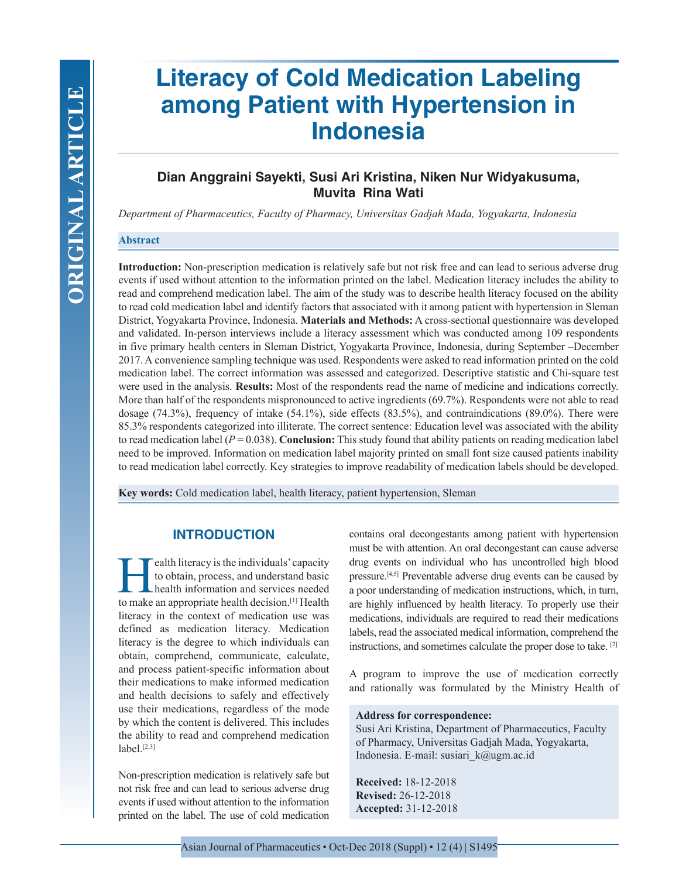# **Literacy of Cold Medication Labeling among Patient with Hypertension in Indonesia**

# **Dian Anggraini Sayekti, Susi Ari Kristina, Niken Nur Widyakusuma, Muvita Rina Wati**

*Department of Pharmaceutics, Faculty of Pharmacy, Universitas Gadjah Mada, Yogyakarta, Indonesia*

## **Abstract**

**Introduction:** Non-prescription medication is relatively safe but not risk free and can lead to serious adverse drug events if used without attention to the information printed on the label. Medication literacy includes the ability to read and comprehend medication label. The aim of the study was to describe health literacy focused on the ability to read cold medication label and identify factors that associated with it among patient with hypertension in Sleman District, Yogyakarta Province, Indonesia. **Materials and Methods:** A cross-sectional questionnaire was developed and validated. In-person interviews include a literacy assessment which was conducted among 109 respondents in five primary health centers in Sleman District, Yogyakarta Province, Indonesia, during September –December 2017. A convenience sampling technique was used. Respondents were asked to read information printed on the cold medication label. The correct information was assessed and categorized. Descriptive statistic and Chi-square test were used in the analysis. **Results:** Most of the respondents read the name of medicine and indications correctly. More than half of the respondents mispronounced to active ingredients (69.7%). Respondents were not able to read dosage (74.3%), frequency of intake (54.1%), side effects (83.5%), and contraindications (89.0%). There were 85.3% respondents categorized into illiterate. The correct sentence: Education level was associated with the ability to read medication label  $(P = 0.038)$ . **Conclusion:** This study found that ability patients on reading medication label need to be improved. Information on medication label majority printed on small font size caused patients inability to read medication label correctly. Key strategies to improve readability of medication labels should be developed.

**Key words:** Cold medication label, health literacy, patient hypertension, Sleman

# **INTRODUCTION**

Ealth literacy is the individuals' capacity<br>to obtain, process, and understand basic<br>health information and services needed<br>to make an appropriate health decision [1] Health to obtain, process, and understand basic health information and services needed to make an appropriate health decision.[1] Health literacy in the context of medication use was defined as medication literacy. Medication literacy is the degree to which individuals can obtain, comprehend, communicate, calculate, and process patient-specific information about their medications to make informed medication and health decisions to safely and effectively use their medications, regardless of the mode by which the content is delivered. This includes the ability to read and comprehend medication  $label. [2,3]$ 

Non-prescription medication is relatively safe but not risk free and can lead to serious adverse drug events if used without attention to the information printed on the label. The use of cold medication

contains oral decongestants among patient with hypertension must be with attention. An oral decongestant can cause adverse drug events on individual who has uncontrolled high blood pressure.[4,5] Preventable adverse drug events can be caused by a poor understanding of medication instructions, which, in turn, are highly influenced by health literacy. To properly use their medications, individuals are required to read their medications labels, read the associated medical information, comprehend the instructions, and sometimes calculate the proper dose to take. [2]

A program to improve the use of medication correctly and rationally was formulated by the Ministry Health of

#### **Address for correspondence:**

Susi Ari Kristina, Department of Pharmaceutics, Faculty of Pharmacy, Universitas Gadjah Mada, Yogyakarta, Indonesia. E-mail: susiari\_k@ugm.ac.id

**Received:** 18-12-2018 **Revised:** 26-12-2018 **Accepted:** 31-12-2018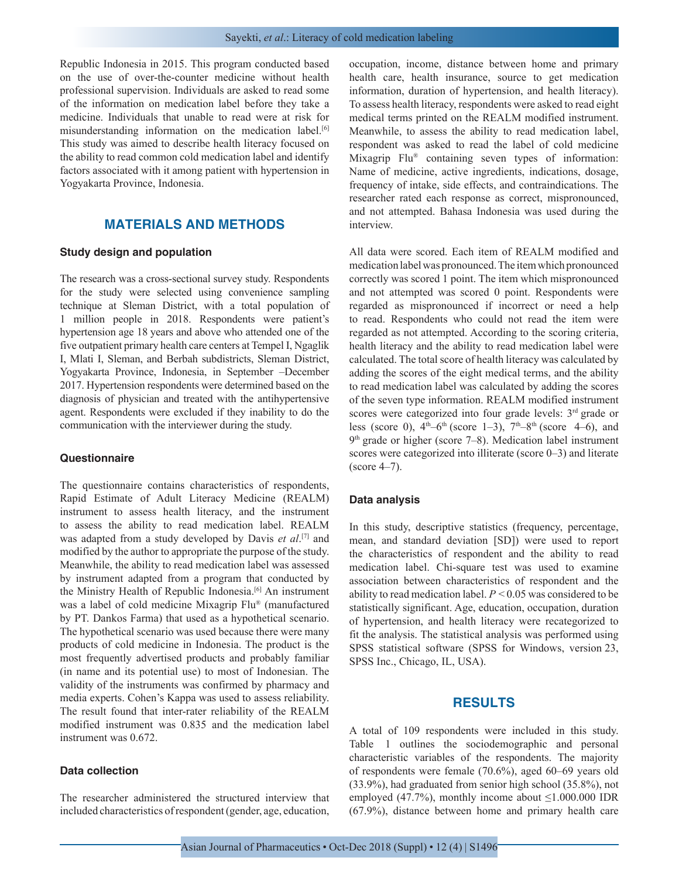Republic Indonesia in 2015. This program conducted based on the use of over-the-counter medicine without health professional supervision. Individuals are asked to read some of the information on medication label before they take a medicine. Individuals that unable to read were at risk for misunderstanding information on the medication label.[6] This study was aimed to describe health literacy focused on the ability to read common cold medication label and identify factors associated with it among patient with hypertension in Yogyakarta Province, Indonesia.

# **MATERIALS AND METHODS**

#### **Study design and population**

The research was a cross-sectional survey study. Respondents for the study were selected using convenience sampling technique at Sleman District, with a total population of 1 million people in 2018. Respondents were patient's hypertension age 18 years and above who attended one of the five outpatient primary health care centers at Tempel I, Ngaglik I, Mlati I, Sleman, and Berbah subdistricts, Sleman District, Yogyakarta Province, Indonesia, in September –December 2017. Hypertension respondents were determined based on the diagnosis of physician and treated with the antihypertensive agent. Respondents were excluded if they inability to do the communication with the interviewer during the study.

#### **Questionnaire**

The questionnaire contains characteristics of respondents, Rapid Estimate of Adult Literacy Medicine (REALM) instrument to assess health literacy, and the instrument to assess the ability to read medication label. REALM was adapted from a study developed by Davis et al.<sup>[7]</sup> and modified by the author to appropriate the purpose of the study. Meanwhile, the ability to read medication label was assessed by instrument adapted from a program that conducted by the Ministry Health of Republic Indonesia.<sup>[6]</sup> An instrument was a label of cold medicine Mixagrip Flu® (manufactured by PT. Dankos Farma) that used as a hypothetical scenario. The hypothetical scenario was used because there were many products of cold medicine in Indonesia. The product is the most frequently advertised products and probably familiar (in name and its potential use) to most of Indonesian. The validity of the instruments was confirmed by pharmacy and media experts. Cohen's Kappa was used to assess reliability. The result found that inter-rater reliability of the REALM modified instrument was 0.835 and the medication label instrument was 0.672.

#### **Data collection**

The researcher administered the structured interview that included characteristics of respondent (gender, age, education, occupation, income, distance between home and primary health care, health insurance, source to get medication information, duration of hypertension, and health literacy). To assess health literacy, respondents were asked to read eight medical terms printed on the REALM modified instrument. Meanwhile, to assess the ability to read medication label, respondent was asked to read the label of cold medicine Mixagrip Flu® containing seven types of information: Name of medicine, active ingredients, indications, dosage, frequency of intake, side effects, and contraindications. The researcher rated each response as correct, mispronounced, and not attempted. Bahasa Indonesia was used during the interview.

All data were scored. Each item of REALM modified and medication label was pronounced. The item which pronounced correctly was scored 1 point. The item which mispronounced and not attempted was scored 0 point. Respondents were regarded as mispronounced if incorrect or need a help to read. Respondents who could not read the item were regarded as not attempted. According to the scoring criteria, health literacy and the ability to read medication label were calculated. The total score of health literacy was calculated by adding the scores of the eight medical terms, and the ability to read medication label was calculated by adding the scores of the seven type information. REALM modified instrument scores were categorized into four grade levels: 3<sup>rd</sup> grade or less (score 0),  $4<sup>th</sup>-6<sup>th</sup>$  (score 1–3),  $7<sup>th</sup>-8<sup>th</sup>$  (score 4–6), and  $9<sup>th</sup>$  grade or higher (score 7–8). Medication label instrument scores were categorized into illiterate (score 0–3) and literate (score 4–7).

#### **Data analysis**

In this study, descriptive statistics (frequency, percentage, mean, and standard deviation [SD]) were used to report the characteristics of respondent and the ability to read medication label. Chi-square test was used to examine association between characteristics of respondent and the ability to read medication label. *P* < 0.05 was considered to be statistically significant. Age, education, occupation, duration of hypertension, and health literacy were recategorized to fit the analysis. The statistical analysis was performed using SPSS statistical software (SPSS for Windows, version 23, SPSS Inc., Chicago, IL, USA).

### **RESULTS**

A total of 109 respondents were included in this study. Table 1 outlines the sociodemographic and personal characteristic variables of the respondents. The majority of respondents were female (70.6%), aged 60–69 years old (33.9%), had graduated from senior high school (35.8%), not employed (47.7%), monthly income about  $\leq 1.000.000$  IDR (67.9%), distance between home and primary health care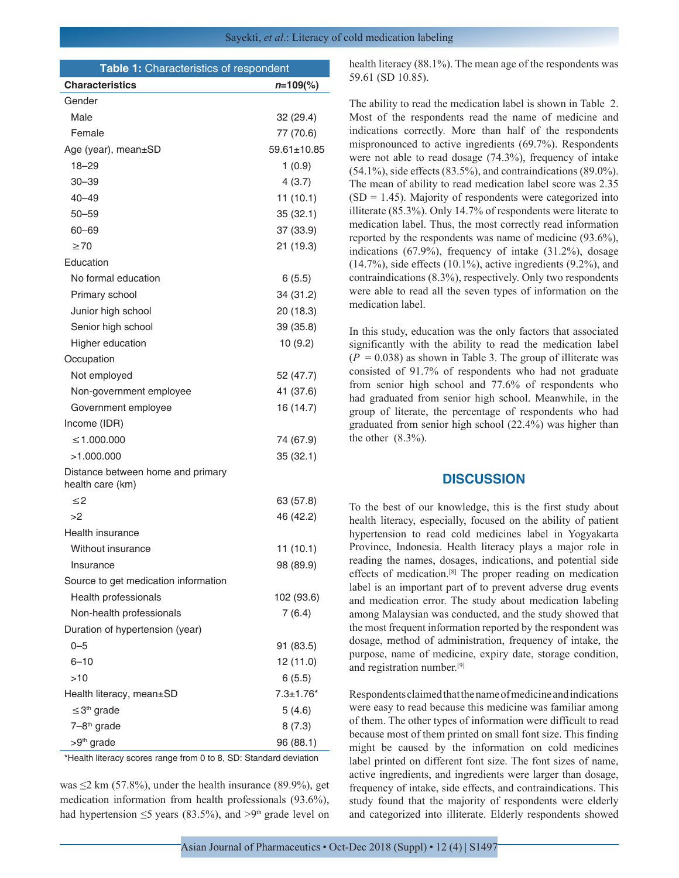| Table 1: Characteristics of respondent                |               |
|-------------------------------------------------------|---------------|
| <b>Characteristics</b>                                | $n=109$ %)    |
| Gender                                                |               |
| Male                                                  | 32 (29.4)     |
| Female                                                | 77 (70.6)     |
| Age (year), mean±SD                                   | 59.61±10.85   |
| $18 - 29$                                             | 1(0.9)        |
| $30 - 39$                                             | 4(3.7)        |
| 40–49                                                 | 11(10.1)      |
| $50 - 59$                                             | 35(32.1)      |
| 60-69                                                 | 37 (33.9)     |
| $\geq 70$                                             | 21 (19.3)     |
| Education                                             |               |
| No formal education                                   | 6(5.5)        |
| Primary school                                        | 34 (31.2)     |
| Junior high school                                    | 20 (18.3)     |
| Senior high school                                    | 39 (35.8)     |
| Higher education                                      | 10(9.2)       |
| Occupation                                            |               |
| Not employed                                          | 52 (47.7)     |
| Non-government employee                               | 41 (37.6)     |
| Government employee                                   | 16 (14.7)     |
| Income (IDR)                                          |               |
| ≤1.000.000                                            | 74 (67.9)     |
| >1.000.000                                            | 35(32.1)      |
| Distance between home and primary<br>health care (km) |               |
| $\leq$ 2                                              | 63 (57.8)     |
| >2                                                    | 46 (42.2)     |
| Health insurance                                      |               |
| Without insurance                                     | 11 (10.1)     |
| Insurance                                             | 98 (89.9)     |
| Source to get medication information                  |               |
| Health professionals                                  | 102 (93.6)    |
| Non-health professionals                              | 7(6.4)        |
| Duration of hypertension (year)                       |               |
| $0 - 5$                                               | 91 (83.5)     |
| $6 - 10$                                              | 12 (11.0)     |
| >10                                                   | 6(5.5)        |
| Health literacy, mean±SD                              | $7.3 + 1.76*$ |
| $\leq$ 3 <sup>th</sup> grade                          | 5(4.6)        |
| 7-8 <sup>th</sup> grade                               | 8(7.3)        |
| >9 <sup>th</sup> grade                                | 96 (88.1)     |

\*Health literacy scores range from 0 to 8, SD: Standard deviation

was  $\leq$ 2 km (57.8%), under the health insurance (89.9%), get medication information from health professionals (93.6%), had hypertension  $\leq$ 5 years (83.5%), and >9<sup>th</sup> grade level on health literacy (88.1%). The mean age of the respondents was 59.61 (SD 10.85).

The ability to read the medication label is shown in Table 2. Most of the respondents read the name of medicine and indications correctly. More than half of the respondents mispronounced to active ingredients (69.7%). Respondents were not able to read dosage (74.3%), frequency of intake (54.1%), side effects (83.5%), and contraindications (89.0%). The mean of ability to read medication label score was 2.35  $(SD = 1.45)$ . Majority of respondents were categorized into illiterate (85.3%). Only 14.7% of respondents were literate to medication label. Thus, the most correctly read information reported by the respondents was name of medicine (93.6%), indications (67.9%), frequency of intake (31.2%), dosage  $(14.7\%)$ , side effects  $(10.1\%)$ , active ingredients  $(9.2\%)$ , and contraindications (8.3%), respectively. Only two respondents were able to read all the seven types of information on the medication label.

In this study, education was the only factors that associated significantly with the ability to read the medication label  $(P = 0.038)$  as shown in Table 3. The group of illiterate was consisted of 91.7% of respondents who had not graduate from senior high school and 77.6% of respondents who had graduated from senior high school. Meanwhile, in the group of literate, the percentage of respondents who had graduated from senior high school (22.4%) was higher than the other  $(8.3\%)$ .

#### **DISCUSSION**

To the best of our knowledge, this is the first study about health literacy, especially, focused on the ability of patient hypertension to read cold medicines label in Yogyakarta Province, Indonesia. Health literacy plays a major role in reading the names, dosages, indications, and potential side effects of medication.[8] The proper reading on medication label is an important part of to prevent adverse drug events and medication error. The study about medication labeling among Malaysian was conducted, and the study showed that the most frequent information reported by the respondent was dosage, method of administration, frequency of intake, the purpose, name of medicine, expiry date, storage condition, and registration number.[9]

Respondents claimed that the name of medicine and indications were easy to read because this medicine was familiar among of them. The other types of information were difficult to read because most of them printed on small font size. This finding might be caused by the information on cold medicines label printed on different font size. The font sizes of name, active ingredients, and ingredients were larger than dosage, frequency of intake, side effects, and contraindications. This study found that the majority of respondents were elderly and categorized into illiterate. Elderly respondents showed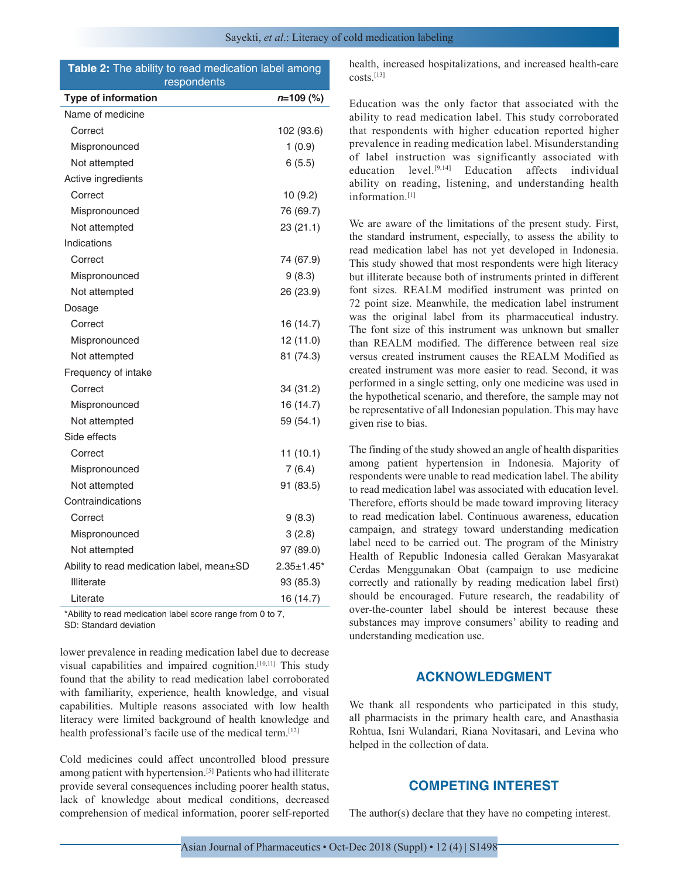|             |  |  |  | <b>Table 2:</b> The ability to read medication label among |  |  |
|-------------|--|--|--|------------------------------------------------------------|--|--|
| respondents |  |  |  |                                                            |  |  |

| <b>Type of information</b>                | $n=109$ (%)       |
|-------------------------------------------|-------------------|
| Name of medicine                          |                   |
| Correct                                   | 102 (93.6)        |
| Mispronounced                             | 1(0.9)            |
| Not attempted                             | 6(5.5)            |
| Active ingredients                        |                   |
| Correct                                   | 10 (9.2)          |
| Mispronounced                             | 76 (69.7)         |
| Not attempted                             | 23 (21.1)         |
| Indications                               |                   |
| Correct                                   | 74 (67.9)         |
| Mispronounced                             | 9(8.3)            |
| Not attempted                             | 26 (23.9)         |
| Dosage                                    |                   |
| Correct                                   | 16 (14.7)         |
| Mispronounced                             | 12 (11.0)         |
| Not attempted                             | 81 (74.3)         |
| Frequency of intake                       |                   |
| Correct                                   | 34 (31.2)         |
| Mispronounced                             | 16 (14.7)         |
| Not attempted                             | 59 (54.1)         |
| Side effects                              |                   |
| Correct                                   | 11(10.1)          |
| Mispronounced                             | 7(6.4)            |
| Not attempted                             | 91 (83.5)         |
| Contraindications                         |                   |
| Correct                                   | 9(8.3)            |
| Mispronounced                             | 3(2.8)            |
| Not attempted                             | 97 (89.0)         |
| Ability to read medication label, mean±SD | $2.35 \pm 1.45$ * |
| <b>Illiterate</b>                         | 93 (85.3)         |
| Literate                                  | 16 (14.7)         |

\*Ability to read medication label score range from 0 to 7,

SD: Standard deviation

lower prevalence in reading medication label due to decrease visual capabilities and impaired cognition.<sup>[10,11]</sup> This study found that the ability to read medication label corroborated with familiarity, experience, health knowledge, and visual capabilities. Multiple reasons associated with low health literacy were limited background of health knowledge and health professional's facile use of the medical term.<sup>[12]</sup>

Cold medicines could affect uncontrolled blood pressure among patient with hypertension.[5] Patients who had illiterate provide several consequences including poorer health status, lack of knowledge about medical conditions, decreased comprehension of medical information, poorer self-reported health, increased hospitalizations, and increased health-care costs.<sup>[13]</sup>

Education was the only factor that associated with the ability to read medication label. This study corroborated that respondents with higher education reported higher prevalence in reading medication label. Misunderstanding of label instruction was significantly associated with education level.[9,14] Education affects individual ability on reading, listening, and understanding health information.[1]

We are aware of the limitations of the present study. First, the standard instrument, especially, to assess the ability to read medication label has not yet developed in Indonesia. This study showed that most respondents were high literacy but illiterate because both of instruments printed in different font sizes. REALM modified instrument was printed on 72 point size. Meanwhile, the medication label instrument was the original label from its pharmaceutical industry. The font size of this instrument was unknown but smaller than REALM modified. The difference between real size versus created instrument causes the REALM Modified as created instrument was more easier to read. Second, it was performed in a single setting, only one medicine was used in the hypothetical scenario, and therefore, the sample may not be representative of all Indonesian population. This may have given rise to bias.

The finding of the study showed an angle of health disparities among patient hypertension in Indonesia. Majority of respondents were unable to read medication label. The ability to read medication label was associated with education level. Therefore, efforts should be made toward improving literacy to read medication label. Continuous awareness, education campaign, and strategy toward understanding medication label need to be carried out. The program of the Ministry Health of Republic Indonesia called Gerakan Masyarakat Cerdas Menggunakan Obat (campaign to use medicine correctly and rationally by reading medication label first) should be encouraged. Future research, the readability of over-the-counter label should be interest because these substances may improve consumers' ability to reading and understanding medication use.

# **ACKNOWLEDGMENT**

We thank all respondents who participated in this study, all pharmacists in the primary health care, and Anasthasia Rohtua, Isni Wulandari, Riana Novitasari, and Levina who helped in the collection of data.

## **COMPETING INTEREST**

The author(s) declare that they have no competing interest.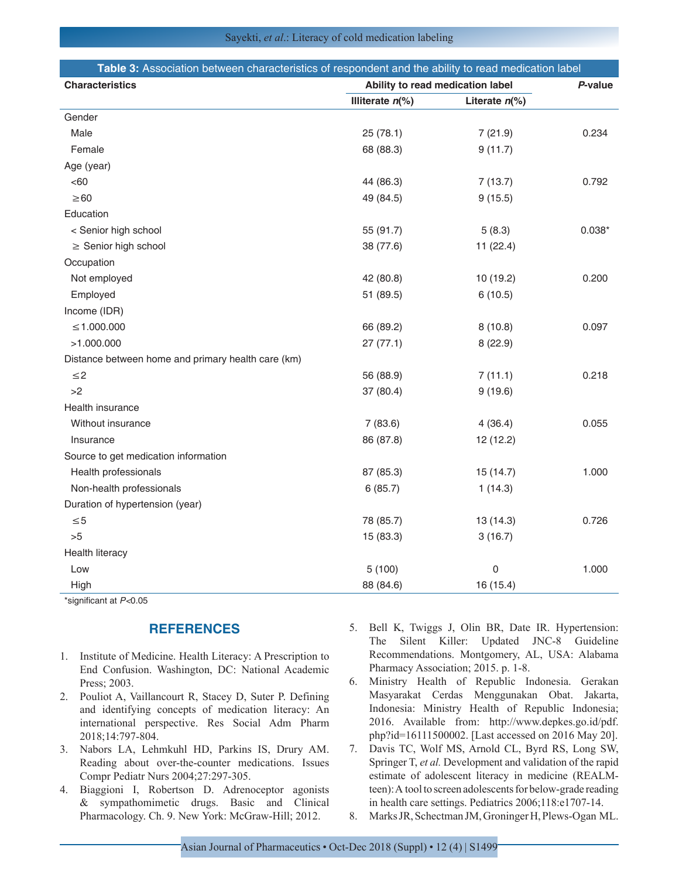| Table 3: Association between characteristics of respondent and the ability to read medication label |                                             |                             |          |
|-----------------------------------------------------------------------------------------------------|---------------------------------------------|-----------------------------|----------|
| <b>Characteristics</b>                                                                              | Ability to read medication label<br>P-value |                             |          |
|                                                                                                     | Illiterate $n$ <sup>(%)</sup>               | Literate $n$ <sup>(%)</sup> |          |
| Gender                                                                                              |                                             |                             |          |
| Male                                                                                                | 25(78.1)                                    | 7(21.9)                     | 0.234    |
| Female                                                                                              | 68 (88.3)                                   | 9(11.7)                     |          |
| Age (year)                                                                                          |                                             |                             |          |
| <60                                                                                                 | 44 (86.3)                                   | 7(13.7)                     | 0.792    |
| $\geq 60$                                                                                           | 49 (84.5)                                   | 9(15.5)                     |          |
| Education                                                                                           |                                             |                             |          |
| < Senior high school                                                                                | 55 (91.7)                                   | 5(8.3)                      | $0.038*$ |
| $\geq$ Senior high school                                                                           | 38 (77.6)                                   | 11(22.4)                    |          |
| Occupation                                                                                          |                                             |                             |          |
| Not employed                                                                                        | 42 (80.8)                                   | 10 (19.2)                   | 0.200    |
| Employed                                                                                            | 51 (89.5)                                   | 6(10.5)                     |          |
| Income (IDR)                                                                                        |                                             |                             |          |
| $\leq 1.000.000$                                                                                    | 66 (89.2)                                   | 8(10.8)                     | 0.097    |
| >1.000.000                                                                                          | 27(77.1)                                    | 8(22.9)                     |          |
| Distance between home and primary health care (km)                                                  |                                             |                             |          |
| $\leq$ 2                                                                                            | 56 (88.9)                                   | 7(11.1)                     | 0.218    |
| >2                                                                                                  | 37 (80.4)                                   | 9(19.6)                     |          |
| Health insurance                                                                                    |                                             |                             |          |
| Without insurance                                                                                   | 7(83.6)                                     | 4(36.4)                     | 0.055    |
| Insurance                                                                                           | 86 (87.8)                                   | 12 (12.2)                   |          |
| Source to get medication information                                                                |                                             |                             |          |
| Health professionals                                                                                | 87 (85.3)                                   | 15(14.7)                    | 1.000    |
| Non-health professionals                                                                            | 6(85.7)                                     | 1(14.3)                     |          |
| Duration of hypertension (year)                                                                     |                                             |                             |          |
| $\leq 5$                                                                                            | 78 (85.7)                                   | 13 (14.3)                   | 0.726    |
| >5                                                                                                  | 15 (83.3)                                   | 3(16.7)                     |          |
| Health literacy                                                                                     |                                             |                             |          |
| Low                                                                                                 | 5(100)                                      | 0                           | 1.000    |
| High                                                                                                | 88 (84.6)                                   | 16 (15.4)                   |          |

\*significant at *P<*0.05

# **REFERENCES**

- 1. Institute of Medicine. Health Literacy: A Prescription to End Confusion. Washington, DC: National Academic Press; 2003.
- 2. Pouliot A, Vaillancourt R, Stacey D, Suter P. Defining and identifying concepts of medication literacy: An international perspective. Res Social Adm Pharm 2018;14:797-804.
- 3. Nabors LA, Lehmkuhl HD, Parkins IS, Drury AM. Reading about over-the-counter medications. Issues Compr Pediatr Nurs 2004;27:297-305.
- 4. Biaggioni I, Robertson D. Adrenoceptor agonists & sympathomimetic drugs. Basic and Clinical Pharmacology. Ch. 9. New York: McGraw-Hill; 2012.
- 5. Bell K, Twiggs J, Olin BR, Date IR. Hypertension: The Silent Killer: Updated JNC-8 Guideline Recommendations. Montgomery, AL, USA: Alabama Pharmacy Association; 2015. p. 1-8.
- 6. Ministry Health of Republic Indonesia. Gerakan Masyarakat Cerdas Menggunakan Obat. Jakarta, Indonesia: Ministry Health of Republic Indonesia; 2016. Available from: http://www.depkes.go.id/pdf. php?id=16111500002. [Last accessed on 2016 May 20].
- 7. Davis TC, Wolf MS, Arnold CL, Byrd RS, Long SW, Springer T, *et al.* Development and validation of the rapid estimate of adolescent literacy in medicine (REALMteen): A tool to screen adolescents for below-grade reading in health care settings. Pediatrics 2006;118:e1707-14.
- 8. Marks JR, Schectman JM, Groninger H, Plews-Ogan ML.